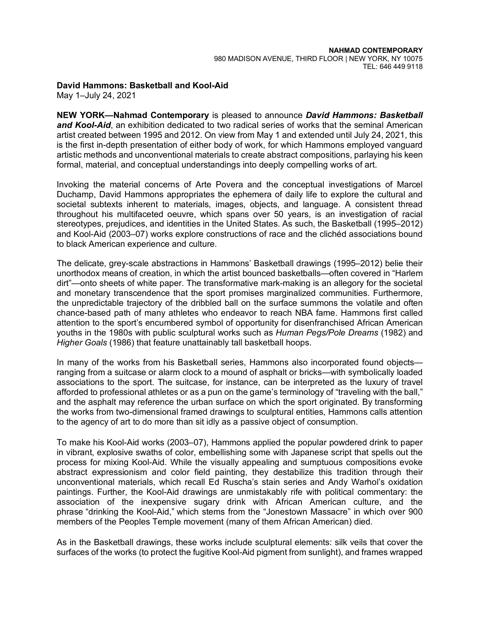## **David Hammons: Basketball and Kool-Aid**

May 1–July 24, 2021

**NEW YORK—Nahmad Contemporary** is pleased to announce *David Hammons: Basketball and Kool-Aid*, an exhibition dedicated to two radical series of works that the seminal American artist created between 1995 and 2012. On view from May 1 and extended until July 24, 2021, this is the first in-depth presentation of either body of work, for which Hammons employed vanguard artistic methods and unconventional materials to create abstract compositions, parlaying his keen formal, material, and conceptual understandings into deeply compelling works of art.

Invoking the material concerns of Arte Povera and the conceptual investigations of Marcel Duchamp, David Hammons appropriates the ephemera of daily life to explore the cultural and societal subtexts inherent to materials, images, objects, and language. A consistent thread throughout his multifaceted oeuvre, which spans over 50 years, is an investigation of racial stereotypes, prejudices, and identities in the United States. As such, the Basketball (1995–2012) and Kool-Aid (2003–07) works explore constructions of race and the clichéd associations bound to black American experience and culture.

The delicate, grey-scale abstractions in Hammons' Basketball drawings (1995–2012) belie their unorthodox means of creation, in which the artist bounced basketballs—often covered in "Harlem dirt"—onto sheets of white paper. The transformative mark-making is an allegory for the societal and monetary transcendence that the sport promises marginalized communities. Furthermore, the unpredictable trajectory of the dribbled ball on the surface summons the volatile and often chance-based path of many athletes who endeavor to reach NBA fame. Hammons first called attention to the sport's encumbered symbol of opportunity for disenfranchised African American youths in the 1980s with public sculptural works such as *Human Pegs/Pole Dreams* (1982) and *Higher Goals* (1986) that feature unattainably tall basketball hoops.

In many of the works from his Basketball series, Hammons also incorporated found objects ranging from a suitcase or alarm clock to a mound of asphalt or bricks—with symbolically loaded associations to the sport. The suitcase, for instance, can be interpreted as the luxury of travel afforded to professional athletes or as a pun on the game's terminology of "traveling with the ball," and the asphalt may reference the urban surface on which the sport originated. By transforming the works from two-dimensional framed drawings to sculptural entities, Hammons calls attention to the agency of art to do more than sit idly as a passive object of consumption.

To make his Kool-Aid works (2003–07), Hammons applied the popular powdered drink to paper in vibrant, explosive swaths of color, embellishing some with Japanese script that spells out the process for mixing Kool-Aid. While the visually appealing and sumptuous compositions evoke abstract expressionism and color field painting, they destabilize this tradition through their unconventional materials, which recall Ed Ruscha's stain series and Andy Warhol's oxidation paintings. Further, the Kool-Aid drawings are unmistakably rife with political commentary: the association of the inexpensive sugary drink with African American culture, and the phrase "drinking the Kool-Aid," which stems from the "Jonestown Massacre" in which over 900 members of the Peoples Temple movement (many of them African American) died.

As in the Basketball drawings, these works include sculptural elements: silk veils that cover the surfaces of the works (to protect the fugitive Kool-Aid pigment from sunlight), and frames wrapped